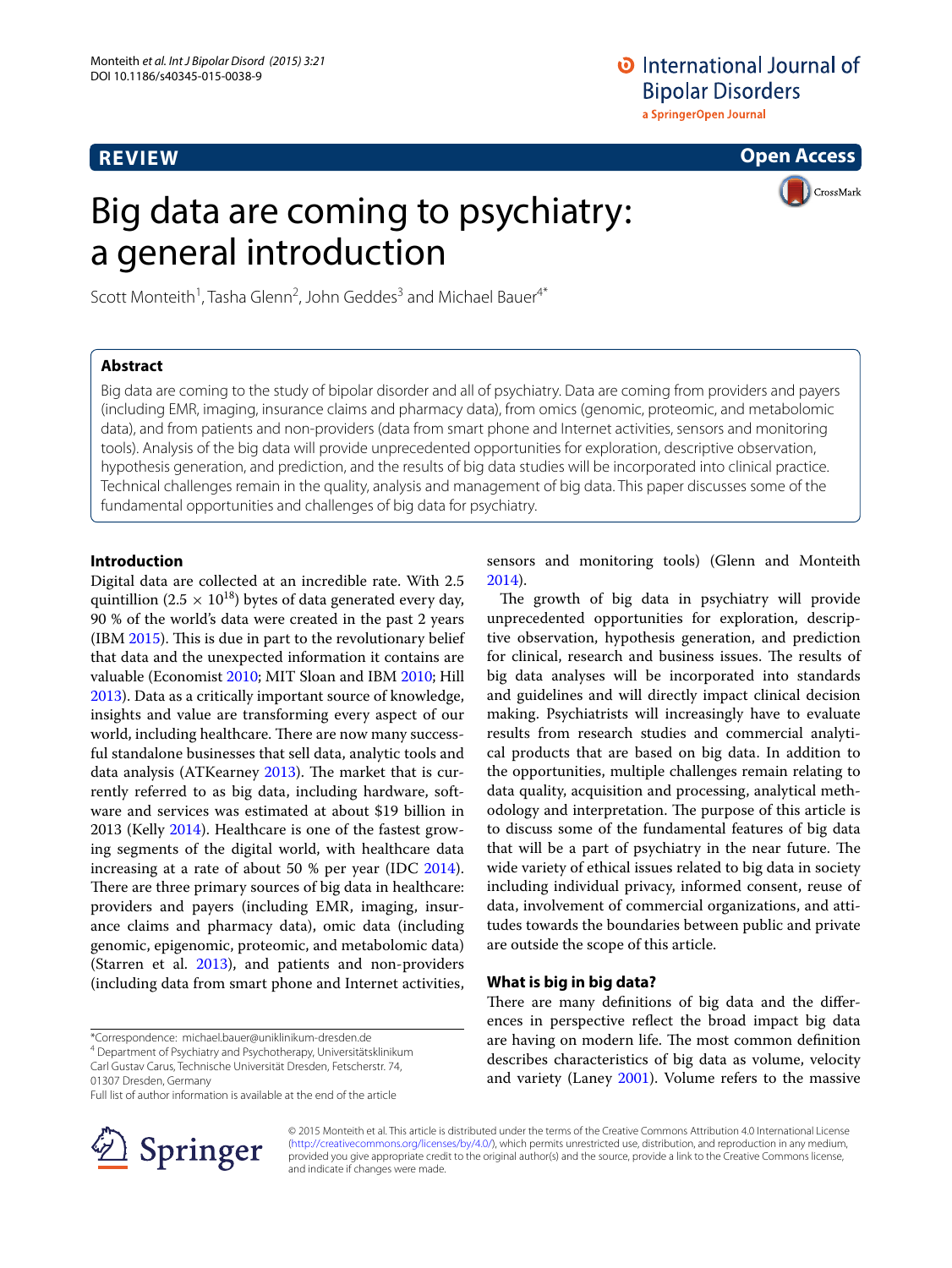# **REVIEW**

# **O** International Journal of **Bipolar Disorders** a SpringerOpen Journal

**Open Access**

# Big data are coming to psychiatry: a general introduction



Scott Monteith<sup>1</sup>, Tasha Glenn<sup>2</sup>, John Geddes<sup>3</sup> and Michael Bauer<sup>4\*</sup>

# **Abstract**

Big data are coming to the study of bipolar disorder and all of psychiatry. Data are coming from providers and payers (including EMR, imaging, insurance claims and pharmacy data), from omics (genomic, proteomic, and metabolomic data), and from patients and non-providers (data from smart phone and Internet activities, sensors and monitoring tools). Analysis of the big data will provide unprecedented opportunities for exploration, descriptive observation, hypothesis generation, and prediction, and the results of big data studies will be incorporated into clinical practice. Technical challenges remain in the quality, analysis and management of big data. This paper discusses some of the fundamental opportunities and challenges of big data for psychiatry.

## **Introduction**

Digital data are collected at an incredible rate. With 2.5 quintillion (2.5  $\times$  10<sup>18</sup>) bytes of data generated every day, 90 % of the world's data were created in the past 2 years (IBM [2015](#page-9-0)). This is due in part to the revolutionary belief that data and the unexpected information it contains are valuable (Economist [2010](#page-8-0); MIT Sloan and IBM [2010;](#page-9-1) Hill [2013](#page-9-2)). Data as a critically important source of knowledge, insights and value are transforming every aspect of our world, including healthcare. There are now many successful standalone businesses that sell data, analytic tools and data analysis (ATKearney [2013](#page-8-1)). The market that is currently referred to as big data, including hardware, software and services was estimated at about \$19 billion in 2013 (Kelly [2014\)](#page-9-3). Healthcare is one of the fastest growing segments of the digital world, with healthcare data increasing at a rate of about 50 % per year (IDC [2014](#page-9-4)). There are three primary sources of big data in healthcare: providers and payers (including EMR, imaging, insurance claims and pharmacy data), omic data (including genomic, epigenomic, proteomic, and metabolomic data) (Starren et al. [2013\)](#page-10-0), and patients and non-providers (including data from smart phone and Internet activities,

Department of Psychiatry and Psychotherapy, Universitätsklinikum

01307 Dresden, Germany

Full list of author information is available at the end of the article



sensors and monitoring tools) (Glenn and Monteith [2014](#page-8-2)).

The growth of big data in psychiatry will provide unprecedented opportunities for exploration, descriptive observation, hypothesis generation, and prediction for clinical, research and business issues. The results of big data analyses will be incorporated into standards and guidelines and will directly impact clinical decision making. Psychiatrists will increasingly have to evaluate results from research studies and commercial analytical products that are based on big data. In addition to the opportunities, multiple challenges remain relating to data quality, acquisition and processing, analytical methodology and interpretation. The purpose of this article is to discuss some of the fundamental features of big data that will be a part of psychiatry in the near future. The wide variety of ethical issues related to big data in society including individual privacy, informed consent, reuse of data, involvement of commercial organizations, and attitudes towards the boundaries between public and private are outside the scope of this article.

## **What is big in big data?**

There are many definitions of big data and the differences in perspective reflect the broad impact big data are having on modern life. The most common definition describes characteristics of big data as volume, velocity and variety (Laney [2001](#page-9-5)). Volume refers to the massive

© 2015 Monteith et al. This article is distributed under the terms of the Creative Commons Attribution 4.0 International License [\(http://creativecommons.org/licenses/by/4.0/\)](http://creativecommons.org/licenses/by/4.0/), which permits unrestricted use, distribution, and reproduction in any medium, provided you give appropriate credit to the original author(s) and the source, provide a link to the Creative Commons license, and indicate if changes were made.

<sup>\*</sup>Correspondence: michael.bauer@uniklinikum-dresden.de 4

Carl Gustav Carus, Technische Universität Dresden, Fetscherstr. 74,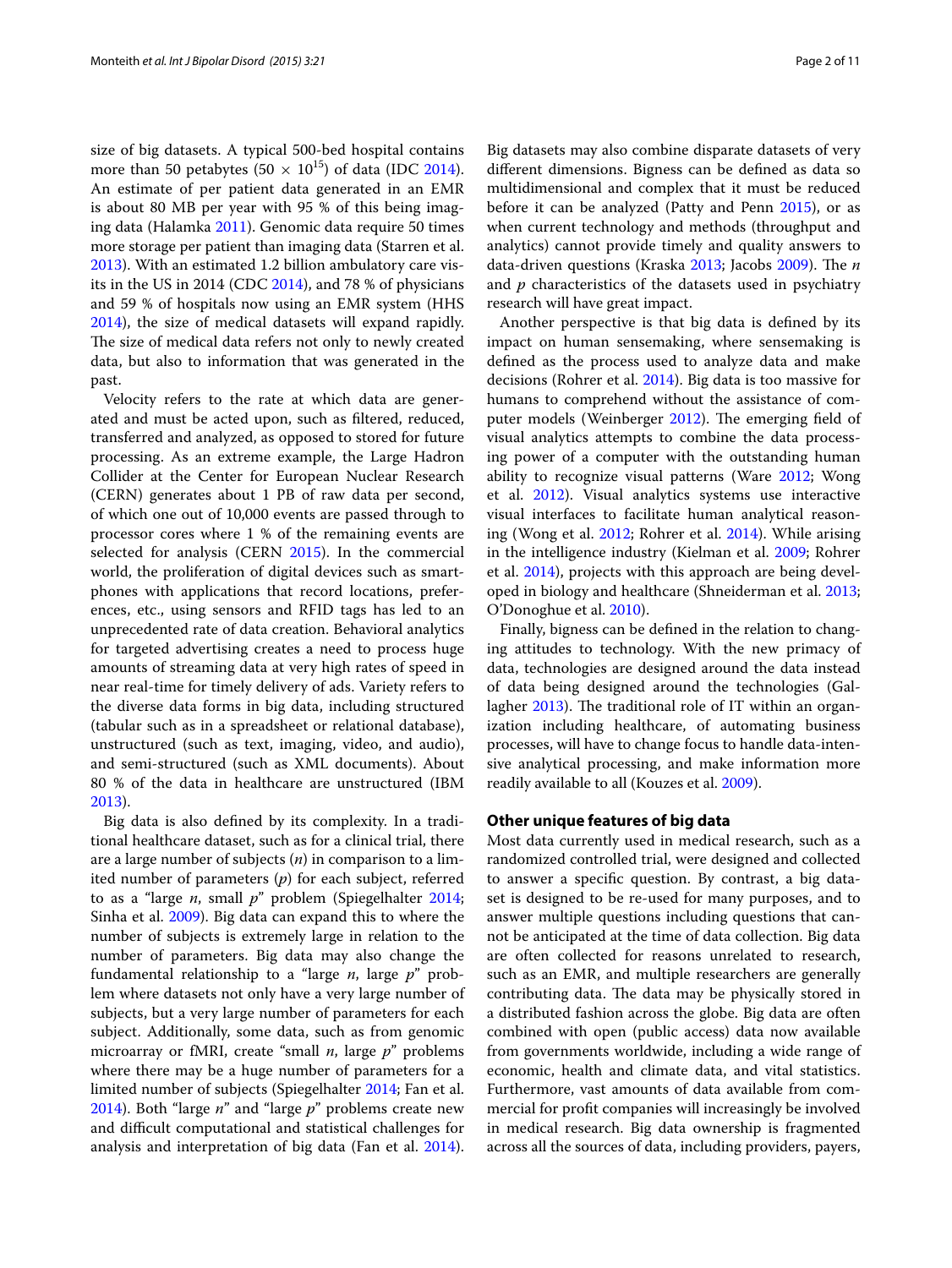size of big datasets. A typical 500-bed hospital contains more than 50 petabytes (50  $\times$  10<sup>15</sup>) of data (IDC [2014](#page-9-4)). An estimate of per patient data generated in an EMR is about 80 MB per year with 95 % of this being imaging data (Halamka [2011\)](#page-8-3). Genomic data require 50 times more storage per patient than imaging data (Starren et al. [2013](#page-10-0)). With an estimated 1.2 billion ambulatory care visits in the US in 2014 (CDC [2014\)](#page-8-4), and 78 % of physicians and 59 % of hospitals now using an EMR system (HHS [2014](#page-9-6)), the size of medical datasets will expand rapidly. The size of medical data refers not only to newly created data, but also to information that was generated in the past.

Velocity refers to the rate at which data are generated and must be acted upon, such as filtered, reduced, transferred and analyzed, as opposed to stored for future processing. As an extreme example, the Large Hadron Collider at the Center for European Nuclear Research (CERN) generates about 1 PB of raw data per second, of which one out of 10,000 events are passed through to processor cores where 1 % of the remaining events are selected for analysis (CERN [2015\)](#page-8-5). In the commercial world, the proliferation of digital devices such as smartphones with applications that record locations, preferences, etc., using sensors and RFID tags has led to an unprecedented rate of data creation. Behavioral analytics for targeted advertising creates a need to process huge amounts of streaming data at very high rates of speed in near real-time for timely delivery of ads. Variety refers to the diverse data forms in big data, including structured (tabular such as in a spreadsheet or relational database), unstructured (such as text, imaging, video, and audio), and semi-structured (such as XML documents). About 80 % of the data in healthcare are unstructured (IBM [2013](#page-9-7)).

Big data is also defined by its complexity. In a traditional healthcare dataset, such as for a clinical trial, there are a large number of subjects (*n*) in comparison to a limited number of parameters (*p*) for each subject, referred to as a "large *n*, small *p*" problem (Spiegelhalter [2014](#page-10-1); Sinha et al. [2009](#page-10-2)). Big data can expand this to where the number of subjects is extremely large in relation to the number of parameters. Big data may also change the fundamental relationship to a "large *n*, large *p*" problem where datasets not only have a very large number of subjects, but a very large number of parameters for each subject. Additionally, some data, such as from genomic microarray or fMRI, create "small *n*, large *p*" problems where there may be a huge number of parameters for a limited number of subjects (Spiegelhalter [2014](#page-10-1); Fan et al. [2014](#page-8-6)). Both "large *n*" and "large *p*" problems create new and difficult computational and statistical challenges for analysis and interpretation of big data (Fan et al. [2014](#page-8-6)).

Big datasets may also combine disparate datasets of very different dimensions. Bigness can be defined as data so multidimensional and complex that it must be reduced before it can be analyzed (Patty and Penn [2015\)](#page-10-3), or as when current technology and methods (throughput and analytics) cannot provide timely and quality answers to data-driven questions (Kraska [2013;](#page-9-8) Jacobs [2009](#page-9-9)). The *n* and *p* characteristics of the datasets used in psychiatry research will have great impact.

Another perspective is that big data is defined by its impact on human sensemaking, where sensemaking is defined as the process used to analyze data and make decisions (Rohrer et al. [2014](#page-10-4)). Big data is too massive for humans to comprehend without the assistance of computer models (Weinberger [2012\)](#page-10-5). The emerging field of visual analytics attempts to combine the data processing power of a computer with the outstanding human ability to recognize visual patterns (Ware [2012](#page-10-6); Wong et al. [2012](#page-10-7)). Visual analytics systems use interactive visual interfaces to facilitate human analytical reasoning (Wong et al. [2012;](#page-10-7) Rohrer et al. [2014](#page-10-4)). While arising in the intelligence industry (Kielman et al. [2009;](#page-9-10) Rohrer et al. [2014](#page-10-4)), projects with this approach are being developed in biology and healthcare (Shneiderman et al. [2013](#page-10-8); O'Donoghue et al. [2010](#page-9-11)).

Finally, bigness can be defined in the relation to changing attitudes to technology. With the new primacy of data, technologies are designed around the data instead of data being designed around the technologies (Gallagher [2013\)](#page-8-7). The traditional role of IT within an organization including healthcare, of automating business processes, will have to change focus to handle data-intensive analytical processing, and make information more readily available to all (Kouzes et al. [2009](#page-9-12)).

# **Other unique features of big data**

Most data currently used in medical research, such as a randomized controlled trial, were designed and collected to answer a specific question. By contrast, a big dataset is designed to be re-used for many purposes, and to answer multiple questions including questions that cannot be anticipated at the time of data collection. Big data are often collected for reasons unrelated to research, such as an EMR, and multiple researchers are generally contributing data. The data may be physically stored in a distributed fashion across the globe. Big data are often combined with open (public access) data now available from governments worldwide, including a wide range of economic, health and climate data, and vital statistics. Furthermore, vast amounts of data available from commercial for profit companies will increasingly be involved in medical research. Big data ownership is fragmented across all the sources of data, including providers, payers,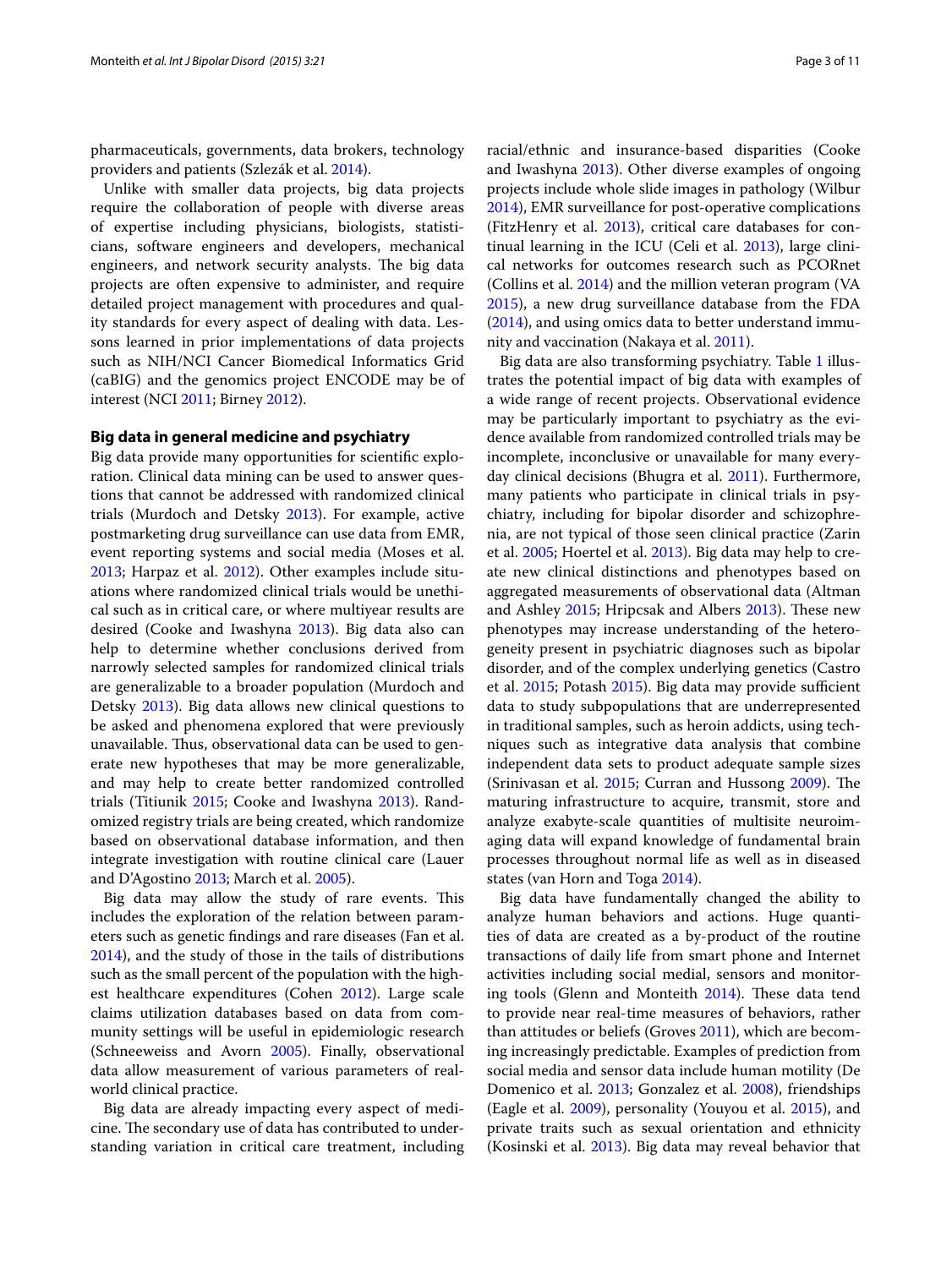pharmaceuticals, governments, data brokers, technology providers and patients (Szlezák et al. [2014](#page-10-9)).

Unlike with smaller data projects, big data projects require the collaboration of people with diverse areas of expertise including physicians, biologists, statisticians, software engineers and developers, mechanical engineers, and network security analysts. The big data projects are often expensive to administer, and require detailed project management with procedures and quality standards for every aspect of dealing with data. Lessons learned in prior implementations of data projects such as NIH/NCI Cancer Biomedical Informatics Grid (caBIG) and the genomics project ENCODE may be of interest (NCI [2011;](#page-9-13) Birney [2012](#page-8-8)).

#### **Big data in general medicine and psychiatry**

Big data provide many opportunities for scientific exploration. Clinical data mining can be used to answer questions that cannot be addressed with randomized clinical trials (Murdoch and Detsky [2013\)](#page-9-14). For example, active postmarketing drug surveillance can use data from EMR, event reporting systems and social media (Moses et al. [2013](#page-9-15); Harpaz et al. [2012\)](#page-9-16). Other examples include situations where randomized clinical trials would be unethical such as in critical care, or where multiyear results are desired (Cooke and Iwashyna [2013\)](#page-8-9). Big data also can help to determine whether conclusions derived from narrowly selected samples for randomized clinical trials are generalizable to a broader population (Murdoch and Detsky [2013\)](#page-9-14). Big data allows new clinical questions to be asked and phenomena explored that were previously unavailable. Thus, observational data can be used to generate new hypotheses that may be more generalizable, and may help to create better randomized controlled trials (Titiunik [2015](#page-10-10); Cooke and Iwashyna [2013\)](#page-8-9). Randomized registry trials are being created, which randomize based on observational database information, and then integrate investigation with routine clinical care (Lauer and D'Agostino [2013;](#page-9-17) March et al. [2005\)](#page-9-18).

Big data may allow the study of rare events. This includes the exploration of the relation between parameters such as genetic findings and rare diseases (Fan et al. [2014](#page-8-6)), and the study of those in the tails of distributions such as the small percent of the population with the highest healthcare expenditures (Cohen [2012\)](#page-8-10). Large scale claims utilization databases based on data from community settings will be useful in epidemiologic research (Schneeweiss and Avorn [2005](#page-10-11)). Finally, observational data allow measurement of various parameters of realworld clinical practice.

Big data are already impacting every aspect of medicine. The secondary use of data has contributed to understanding variation in critical care treatment, including

racial/ethnic and insurance-based disparities (Cooke and Iwashyna [2013](#page-8-9)). Other diverse examples of ongoing projects include whole slide images in pathology (Wilbur [2014](#page-10-12)), EMR surveillance for post-operative complications (FitzHenry et al.  $2013$ ), critical care databases for continual learning in the ICU (Celi et al. [2013](#page-8-12)), large clinical networks for outcomes research such as PCORnet (Collins et al. [2014\)](#page-8-13) and the million veteran program (VA [2015](#page-10-13)), a new drug surveillance database from the FDA ([2014\)](#page-8-14), and using omics data to better understand immunity and vaccination (Nakaya et al. [2011\)](#page-9-19).

Big data are also transforming psychiatry. Table [1](#page-3-0) illustrates the potential impact of big data with examples of a wide range of recent projects. Observational evidence may be particularly important to psychiatry as the evidence available from randomized controlled trials may be incomplete, inconclusive or unavailable for many everyday clinical decisions (Bhugra et al. [2011](#page-8-15)). Furthermore, many patients who participate in clinical trials in psychiatry, including for bipolar disorder and schizophrenia, are not typical of those seen clinical practice (Zarin et al. [2005;](#page-10-14) Hoertel et al. [2013](#page-9-20)). Big data may help to create new clinical distinctions and phenotypes based on aggregated measurements of observational data (Altman and Ashley [2015](#page-8-16); Hripcsak and Albers [2013](#page-9-21)). These new phenotypes may increase understanding of the heterogeneity present in psychiatric diagnoses such as bipolar disorder, and of the complex underlying genetics (Castro et al. [2015](#page-8-17); Potash [2015](#page-10-15)). Big data may provide sufficient data to study subpopulations that are underrepresented in traditional samples, such as heroin addicts, using techniques such as integrative data analysis that combine independent data sets to product adequate sample sizes (Srinivasan et al. [2015;](#page-10-16) Curran and Hussong [2009](#page-8-18)). The maturing infrastructure to acquire, transmit, store and analyze exabyte-scale quantities of multisite neuroimaging data will expand knowledge of fundamental brain processes throughout normal life as well as in diseased states (van Horn and Toga [2014\)](#page-10-17).

Big data have fundamentally changed the ability to analyze human behaviors and actions. Huge quantities of data are created as a by-product of the routine transactions of daily life from smart phone and Internet activities including social medial, sensors and monitoring tools (Glenn and Monteith [2014\)](#page-8-2). These data tend to provide near real-time measures of behaviors, rather than attitudes or beliefs (Groves [2011](#page-8-19)), which are becoming increasingly predictable. Examples of prediction from social media and sensor data include human motility (De Domenico et al. [2013;](#page-8-20) Gonzalez et al. [2008](#page-8-21)), friendships (Eagle et al. [2009](#page-8-22)), personality (Youyou et al. [2015\)](#page-10-18), and private traits such as sexual orientation and ethnicity (Kosinski et al. [2013](#page-9-22)). Big data may reveal behavior that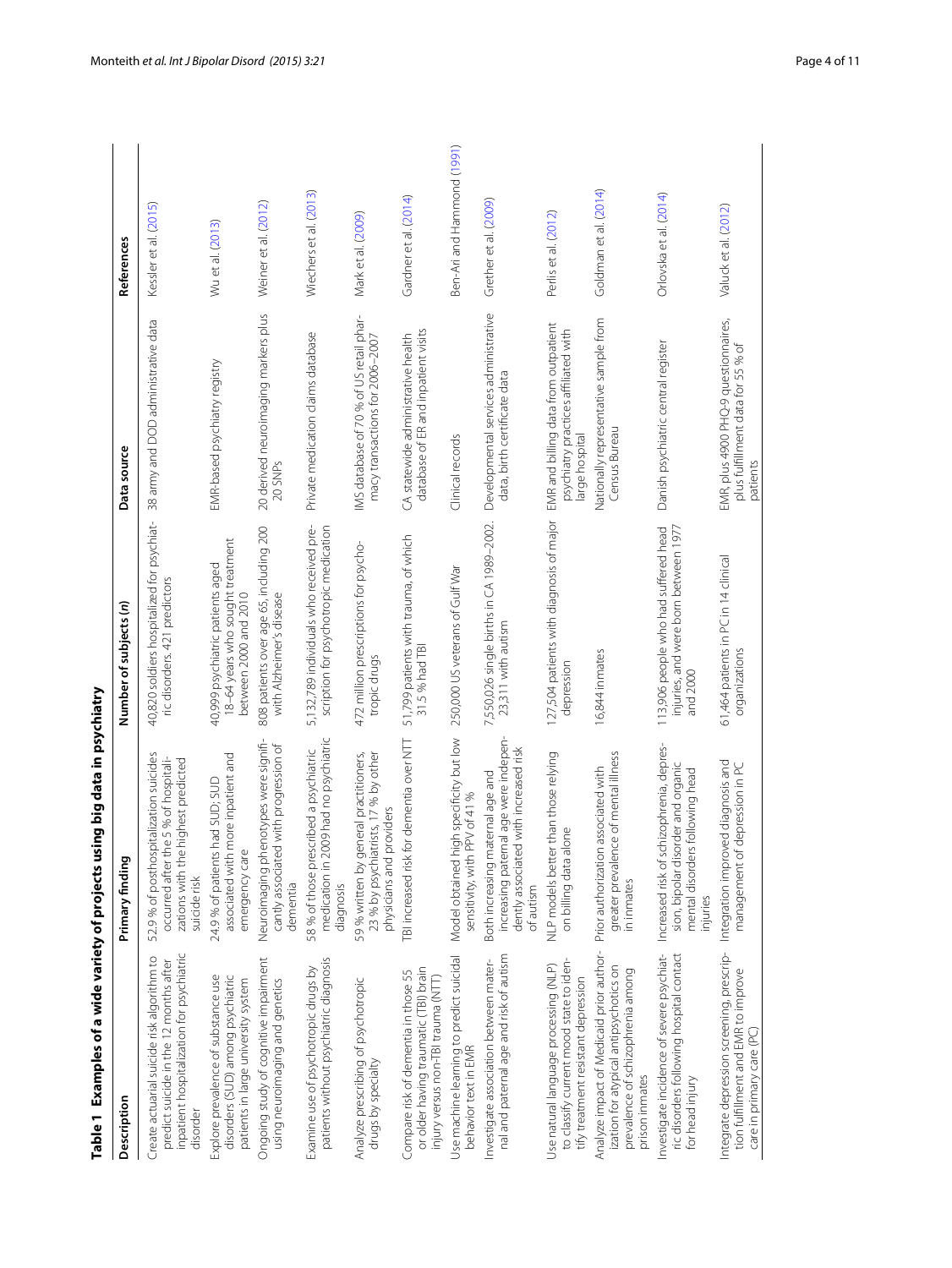<span id="page-3-0"></span>

|                                                                                                                                               | Table 1 Examples of a wide variety of projects using big data in psychiatry                                                          |                                                                                               |                                                                                                |                            |
|-----------------------------------------------------------------------------------------------------------------------------------------------|--------------------------------------------------------------------------------------------------------------------------------------|-----------------------------------------------------------------------------------------------|------------------------------------------------------------------------------------------------|----------------------------|
| Description                                                                                                                                   | Primary finding                                                                                                                      | Number of subjects (n)                                                                        | Data source                                                                                    | References                 |
| inpatient hospitalization for psychiatric<br>Create actuarial suicide risk algorithm to<br>predict suicide in the 12 months after<br>disorder | 52.9 % of posthospitalization suicides<br>occurred after the 5 % of hospitali-<br>zations with the highest predicted<br>suicide risk | 40,820 soldiers hospitalized for psychiat-<br>ric disorders. 421 predictors                   | 38 army and DOD administrative data                                                            | Kessler et al. (2015)      |
| disorders (SUD) among psychiatric<br>Explore prevalence of substance use<br>patients in large university system                               | more inpatient and<br>24.9 % of patients had SUD; SUD<br>emergency care<br>associated with                                           | 18-64 years who sought treatment<br>40,999 psychiatric patients aged<br>between 2000 and 2010 | EMR-based psychiatry registry                                                                  | Wu et al. (2013)           |
| Ongoing study of cognitive impairment<br>using neuroimaging and genetics                                                                      | Neuroimaging phenotypes were signifi-<br>cantly associated with progression of<br>dementia                                           | 808 patients over age 65, including 200<br>with Alzheimer's disease                           | 20 derived neuroimaging markers plus<br>20 SNPs                                                | Weiner et al. (2012)       |
| patients without psychiatric diagnosis<br>Examine use of psychotropic drugs by                                                                | medication in 2009 had no psychiatric<br>58 % of those prescribed a psychiatric<br>diagnosis                                         | 5,132,789 individuals who received pre-<br>scription for psychotropic medication              | Private medication claims database                                                             | Wiechers et al. (2013)     |
| Analyze prescribing of psychotropic<br>drugs by specialty                                                                                     | 59% written by general practitioners,<br>23 % by psychiatrists, 17 % by other<br>physicians and providers                            | 472 million prescriptions for psycho-<br>tropic drugs                                         | IMS database of 70 % of US retail phar-<br>macy transactions for 2006-2007                     | Mark et al. (2009)         |
| or older having traumatic (TBI) brain<br>Compare risk of dementia in those 55<br>injury versus non-TBI trauma (NTT)                           | TBI increased risk for dementia over NTT                                                                                             | 51,799 patients with trauma, of which<br>31.5 % had TBI                                       | database of ER and inpatient visits<br>CA statewide administrative health                      | Gardner et al. (2014)      |
| Use machine learning to predict suicidal<br>behavior text in EMR                                                                              | high specificity but low<br>sensitivity, with PPV of 41 %<br>Model obtained                                                          | 250,000 US veterans of Gulf War                                                               | Clinical records                                                                               | Ben-Ari and Hammond (1991) |
| nal and paternal age and risk of autism<br>Investigate association between mater-                                                             | increasing paternal age were indepen-<br>dently associated with increased risk<br>Both increasing maternal age and<br>of autism      | 7,550,026 single births in CA 1989-2002.<br>23,311 with autism                                | Developmental services administrative<br>data, birth certificate data                          | Grether et al. (2009)      |
| to classify current mood state to iden-<br>Use natural language processing (NLP)<br>tify treatment resistant depression                       | NLP models better than those relying<br>on billing data alone                                                                        | 127,504 patients with diagnosis of major<br>depression                                        | EMR and billing data from outpatient<br>psychiatry practices affiliated with<br>large hospital | Perlis et al. (2012)       |
| Analyze impact of Medicaid prior author-<br>ization for atypical antipsychotics on<br>prevalence of schizophrenia among<br>prison inmates     | greater prevalence of mental illness<br>in inmates<br>Prior authorization associated with                                            | 16,844 inmates                                                                                | Nationally representative sample from<br>Census Bureau                                         | Goldman et al. (2014)      |
| Investigate incidence of severe psychiat-<br>ric disorders following hospital contact<br>for head injury                                      | Increased risk of schizophrenia, depres-<br>sion, bipolar disorder and organic<br>mental disorders following head<br>injuries        | injuries, and were born between 1977<br>113,906 people who had suffered head<br>and 2000      | Danish psychiatric central register                                                            | Orlovska et al. (2014)     |
| Integrate depression screening, prescrip-<br>tion fulfillment and EMR to improve<br>care in primary care (PC)                                 | Integration improved diagnosis and<br>management of depression in PC                                                                 | 61,464 patients in PC in 14 clinical<br>organizations                                         | EMR, plus 4900 PHQ-9 questionnaires,<br>plus fulfillment data for 55 % of<br>patients          | Valuck et al. (2012)       |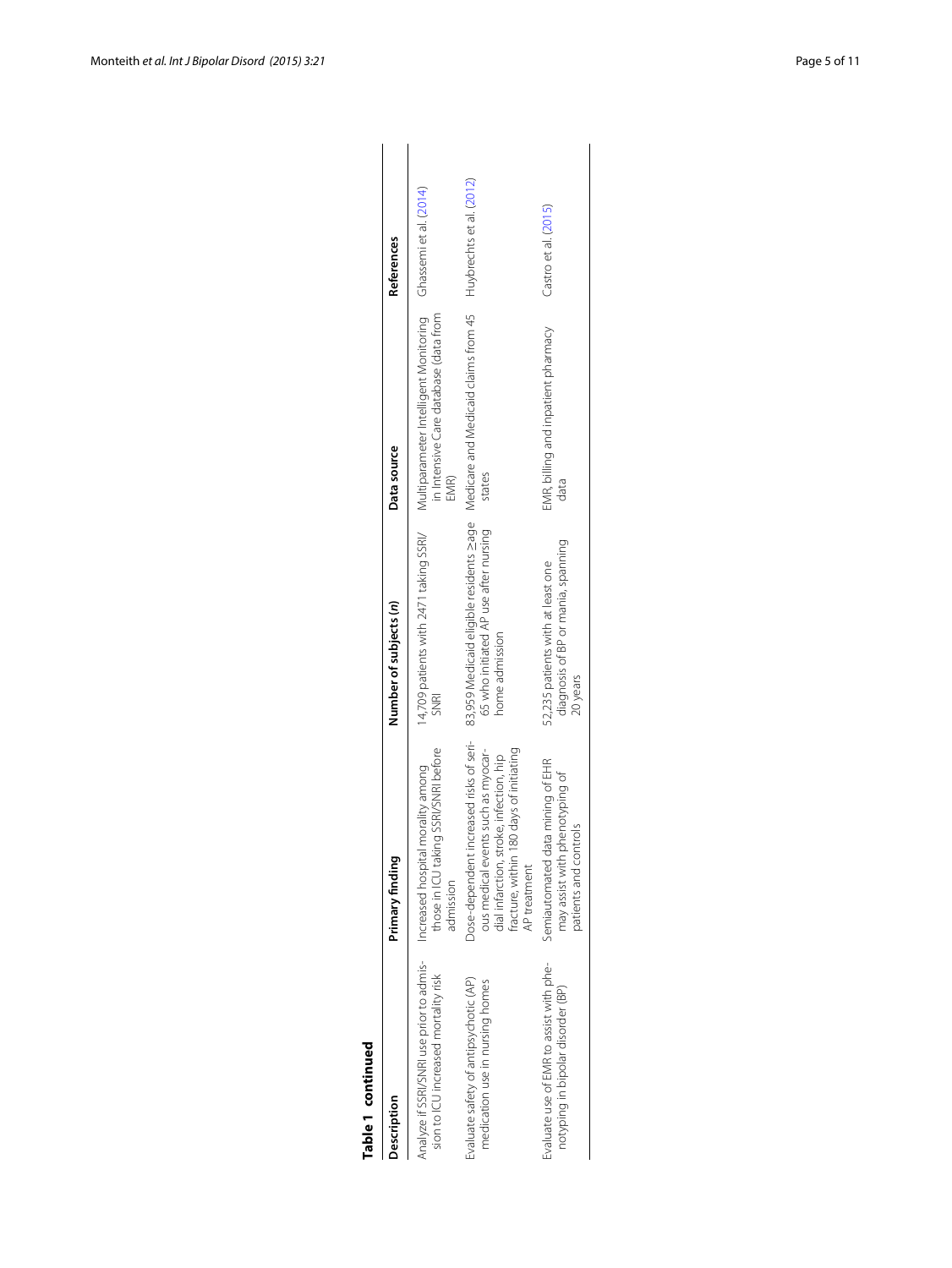| г |
|---|
| d |
| - |
|   |
|   |
|   |
|   |
| ı |
|   |
| г |
| α |
|   |
| ë |
|   |

| Table 1 continued                                                                |                                                                                                                                                                                     |                                                                                                    |                                                                                                               |                      |
|----------------------------------------------------------------------------------|-------------------------------------------------------------------------------------------------------------------------------------------------------------------------------------|----------------------------------------------------------------------------------------------------|---------------------------------------------------------------------------------------------------------------|----------------------|
| Description                                                                      | Primary finding                                                                                                                                                                     | Number of subjects (n)                                                                             | Data source                                                                                                   | <b>References</b>    |
| Analyze if SSRI/SNRI use prior to admis-<br>sion to ICU increased mortality risk | those in ICU taking SSRI/SNRI before<br>Increased hospital morality among<br>admission                                                                                              | 14,709 patients with 2471 taking SSRI/<br><b>SNRI</b>                                              | Multiparameter Intelligent Monitoring Ghassemi et al. (2014)<br>in Intensive Care database (data from<br>EMR) |                      |
| Evaluate safety of antipsychotic (AP)<br>medication use in nursing homes         | Dose-dependent increased risks of seri-<br>ous medical events such as myocar-<br>fracture, within 180 days of initiating<br>dial infarction, stroke, infection, hip<br>AP treatment | 83,959 Medicaid eligible residents sage<br>65 who initiated AP use after nursing<br>home admission | Medicare and Medicaid claims from 45 Huybrechts et al. (2012)<br>states                                       |                      |
| Evaluate use of EMR to assist with phe-<br>notyping in bipolar disorder (BP)     | Semiautomated data mining of EHR<br>may assist with phenotyping of<br>patients and controls                                                                                         | diagnosis of BP or mania, spanning<br>52,235 patients with at least one<br>20 years                | EMR, billing and inpatient pharmacy<br>data                                                                   | Castro et al. (2015) |
|                                                                                  |                                                                                                                                                                                     |                                                                                                    |                                                                                                               |                      |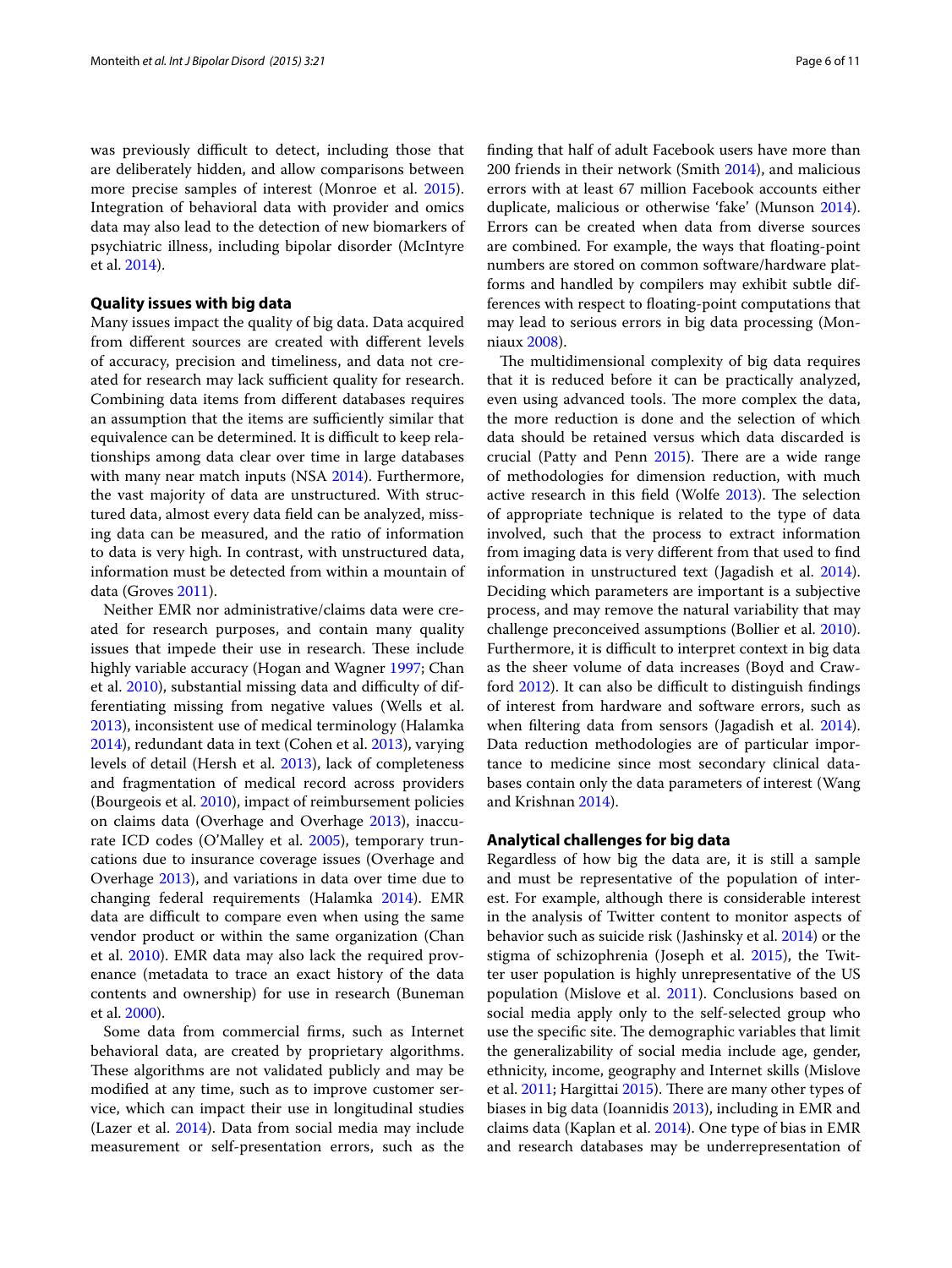was previously difficult to detect, including those that are deliberately hidden, and allow comparisons between more precise samples of interest (Monroe et al. [2015](#page-9-27)). Integration of behavioral data with provider and omics data may also lead to the detection of new biomarkers of psychiatric illness, including bipolar disorder (McIntyre et al. [2014\)](#page-9-28).

## **Quality issues with big data**

Many issues impact the quality of big data. Data acquired from different sources are created with different levels of accuracy, precision and timeliness, and data not created for research may lack sufficient quality for research. Combining data items from different databases requires an assumption that the items are sufficiently similar that equivalence can be determined. It is difficult to keep relationships among data clear over time in large databases with many near match inputs (NSA [2014](#page-9-29)). Furthermore, the vast majority of data are unstructured. With structured data, almost every data field can be analyzed, missing data can be measured, and the ratio of information to data is very high. In contrast, with unstructured data, information must be detected from within a mountain of data (Groves [2011\)](#page-8-19).

Neither EMR nor administrative/claims data were created for research purposes, and contain many quality issues that impede their use in research. These include highly variable accuracy (Hogan and Wagner [1997;](#page-9-30) Chan et al. [2010\)](#page-8-28), substantial missing data and difficulty of differentiating missing from negative values (Wells et al. [2013](#page-10-24)), inconsistent use of medical terminology (Halamka [2014](#page-8-29)), redundant data in text (Cohen et al. [2013](#page-8-30)), varying levels of detail (Hersh et al. [2013](#page-9-31)), lack of completeness and fragmentation of medical record across providers (Bourgeois et al. [2010](#page-8-31)), impact of reimbursement policies on claims data (Overhage and Overhage [2013](#page-10-25)), inaccurate ICD codes (O'Malley et al. [2005](#page-9-32)), temporary truncations due to insurance coverage issues (Overhage and Overhage [2013](#page-10-25)), and variations in data over time due to changing federal requirements (Halamka [2014\)](#page-8-29). EMR data are difficult to compare even when using the same vendor product or within the same organization (Chan et al. [2010](#page-8-28)). EMR data may also lack the required provenance (metadata to trace an exact history of the data contents and ownership) for use in research (Buneman et al. [2000\)](#page-8-32).

Some data from commercial firms, such as Internet behavioral data, are created by proprietary algorithms. These algorithms are not validated publicly and may be modified at any time, such as to improve customer service, which can impact their use in longitudinal studies (Lazer et al. [2014\)](#page-9-33). Data from social media may include measurement or self-presentation errors, such as the finding that half of adult Facebook users have more than 200 friends in their network (Smith [2014](#page-10-26)), and malicious errors with at least 67 million Facebook accounts either duplicate, malicious or otherwise 'fake' (Munson [2014](#page-9-34)). Errors can be created when data from diverse sources are combined. For example, the ways that floating-point numbers are stored on common software/hardware platforms and handled by compilers may exhibit subtle differences with respect to floating-point computations that may lead to serious errors in big data processing (Monniaux [2008](#page-9-35)).

The multidimensional complexity of big data requires that it is reduced before it can be practically analyzed, even using advanced tools. The more complex the data, the more reduction is done and the selection of which data should be retained versus which data discarded is crucial (Patty and Penn [2015](#page-10-3)). There are a wide range of methodologies for dimension reduction, with much active research in this field (Wolfe [2013\)](#page-10-27). The selection of appropriate technique is related to the type of data involved, such that the process to extract information from imaging data is very different from that used to find information in unstructured text (Jagadish et al. [2014](#page-9-36)). Deciding which parameters are important is a subjective process, and may remove the natural variability that may challenge preconceived assumptions (Bollier et al. [2010](#page-8-33)). Furthermore, it is difficult to interpret context in big data as the sheer volume of data increases (Boyd and Crawford [2012](#page-8-34)). It can also be difficult to distinguish findings of interest from hardware and software errors, such as when filtering data from sensors (Jagadish et al. [2014](#page-9-36)). Data reduction methodologies are of particular importance to medicine since most secondary clinical databases contain only the data parameters of interest (Wang and Krishnan [2014\)](#page-10-28).

### **Analytical challenges for big data**

Regardless of how big the data are, it is still a sample and must be representative of the population of interest. For example, although there is considerable interest in the analysis of Twitter content to monitor aspects of behavior such as suicide risk (Jashinsky et al. [2014\)](#page-9-37) or the stigma of schizophrenia (Joseph et al. [2015\)](#page-9-38), the Twitter user population is highly unrepresentative of the US population (Mislove et al. [2011\)](#page-9-39). Conclusions based on social media apply only to the self-selected group who use the specific site. The demographic variables that limit the generalizability of social media include age, gender, ethnicity, income, geography and Internet skills (Mislove et al. [2011;](#page-9-39) Hargittai [2015](#page-9-40)). There are many other types of biases in big data (Ioannidis [2013\)](#page-9-41), including in EMR and claims data (Kaplan et al. [2014](#page-9-42)). One type of bias in EMR and research databases may be underrepresentation of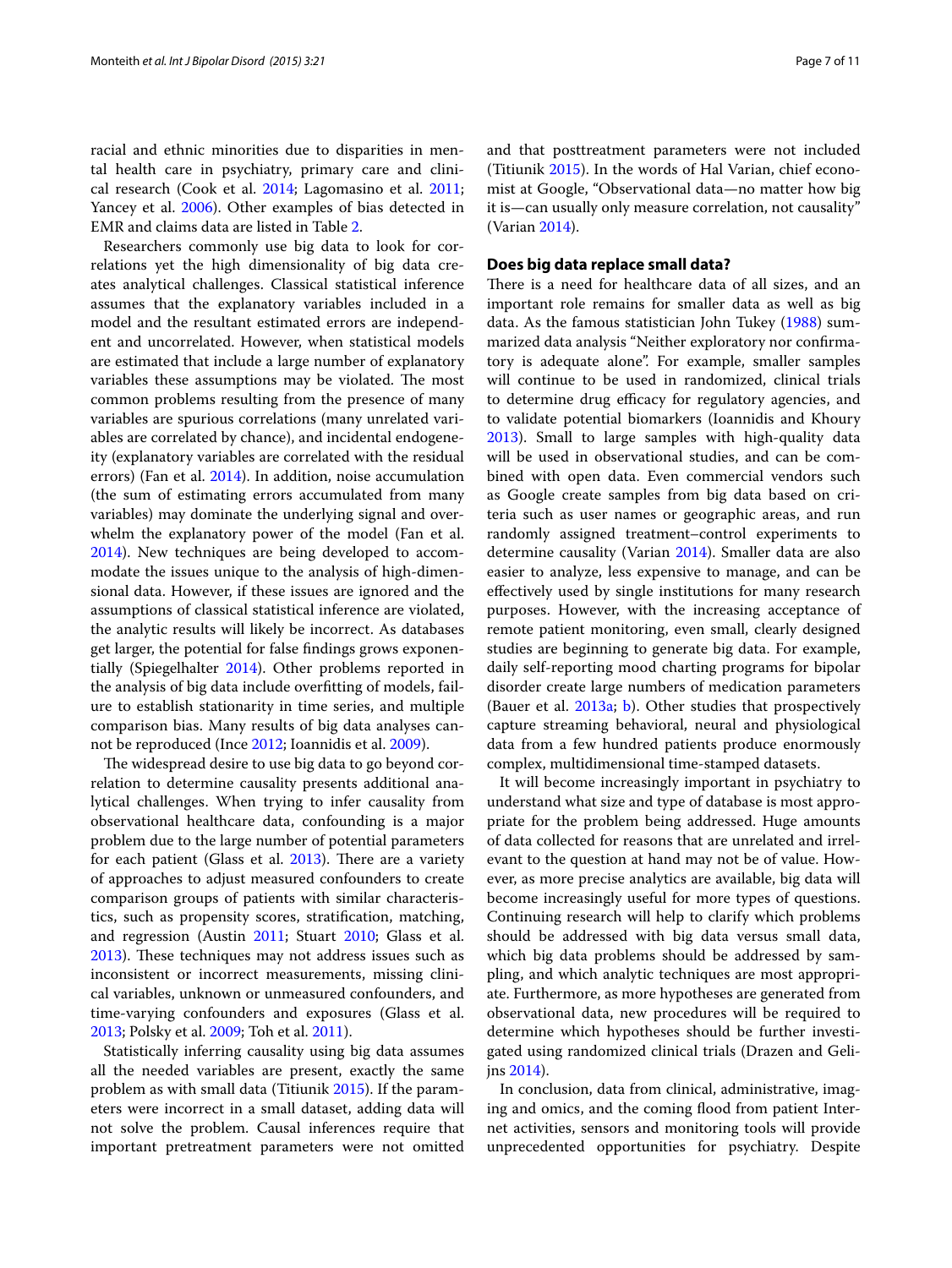racial and ethnic minorities due to disparities in mental health care in psychiatry, primary care and clinical research (Cook et al. [2014](#page-8-35); Lagomasino et al. [2011](#page-9-43); Yancey et al. [2006](#page-10-29)). Other examples of bias detected in EMR and claims data are listed in Table [2.](#page-7-0)

Researchers commonly use big data to look for correlations yet the high dimensionality of big data creates analytical challenges. Classical statistical inference assumes that the explanatory variables included in a model and the resultant estimated errors are independent and uncorrelated. However, when statistical models are estimated that include a large number of explanatory variables these assumptions may be violated. The most common problems resulting from the presence of many variables are spurious correlations (many unrelated variables are correlated by chance), and incidental endogeneity (explanatory variables are correlated with the residual errors) (Fan et al. [2014](#page-8-6)). In addition, noise accumulation (the sum of estimating errors accumulated from many variables) may dominate the underlying signal and overwhelm the explanatory power of the model (Fan et al. [2014](#page-8-6)). New techniques are being developed to accommodate the issues unique to the analysis of high-dimensional data. However, if these issues are ignored and the assumptions of classical statistical inference are violated, the analytic results will likely be incorrect. As databases get larger, the potential for false findings grows exponentially (Spiegelhalter [2014](#page-10-1)). Other problems reported in the analysis of big data include overfitting of models, failure to establish stationarity in time series, and multiple comparison bias. Many results of big data analyses cannot be reproduced (Ince [2012](#page-9-44); Ioannidis et al. [2009\)](#page-9-45).

The widespread desire to use big data to go beyond correlation to determine causality presents additional analytical challenges. When trying to infer causality from observational healthcare data, confounding is a major problem due to the large number of potential parameters for each patient (Glass et al. [2013](#page-8-36)). There are a variety of approaches to adjust measured confounders to create comparison groups of patients with similar characteristics, such as propensity scores, stratification, matching, and regression (Austin [2011](#page-8-37); Stuart [2010;](#page-10-30) Glass et al. [2013](#page-8-36)). These techniques may not address issues such as inconsistent or incorrect measurements, missing clinical variables, unknown or unmeasured confounders, and time-varying confounders and exposures (Glass et al. [2013](#page-8-36); Polsky et al. [2009;](#page-10-31) Toh et al. [2011](#page-10-32)).

Statistically inferring causality using big data assumes all the needed variables are present, exactly the same problem as with small data (Titiunik [2015](#page-10-10)). If the parameters were incorrect in a small dataset, adding data will not solve the problem. Causal inferences require that important pretreatment parameters were not omitted and that posttreatment parameters were not included

(Titiunik [2015](#page-10-10)). In the words of Hal Varian, chief economist at Google, "Observational data—no matter how big it is—can usually only measure correlation, not causality" (Varian [2014](#page-10-33)).

## **Does big data replace small data?**

There is a need for healthcare data of all sizes, and an important role remains for smaller data as well as big data. As the famous statistician John Tukey ([1988](#page-10-34)) summarized data analysis "Neither exploratory nor confirmatory is adequate alone". For example, smaller samples will continue to be used in randomized, clinical trials to determine drug efficacy for regulatory agencies, and to validate potential biomarkers (Ioannidis and Khoury [2013](#page-9-46)). Small to large samples with high-quality data will be used in observational studies, and can be combined with open data. Even commercial vendors such as Google create samples from big data based on criteria such as user names or geographic areas, and run randomly assigned treatment–control experiments to determine causality (Varian [2014\)](#page-10-33). Smaller data are also easier to analyze, less expensive to manage, and can be effectively used by single institutions for many research purposes. However, with the increasing acceptance of remote patient monitoring, even small, clearly designed studies are beginning to generate big data. For example, daily self-reporting mood charting programs for bipolar disorder create large numbers of medication parameters (Bauer et al. [2013a;](#page-8-38) [b\)](#page-8-39). Other studies that prospectively capture streaming behavioral, neural and physiological data from a few hundred patients produce enormously complex, multidimensional time-stamped datasets.

It will become increasingly important in psychiatry to understand what size and type of database is most appropriate for the problem being addressed. Huge amounts of data collected for reasons that are unrelated and irrelevant to the question at hand may not be of value. However, as more precise analytics are available, big data will become increasingly useful for more types of questions. Continuing research will help to clarify which problems should be addressed with big data versus small data, which big data problems should be addressed by sampling, and which analytic techniques are most appropriate. Furthermore, as more hypotheses are generated from observational data, new procedures will be required to determine which hypotheses should be further investigated using randomized clinical trials (Drazen and Gelijns [2014](#page-8-40)).

In conclusion, data from clinical, administrative, imaging and omics, and the coming flood from patient Internet activities, sensors and monitoring tools will provide unprecedented opportunities for psychiatry. Despite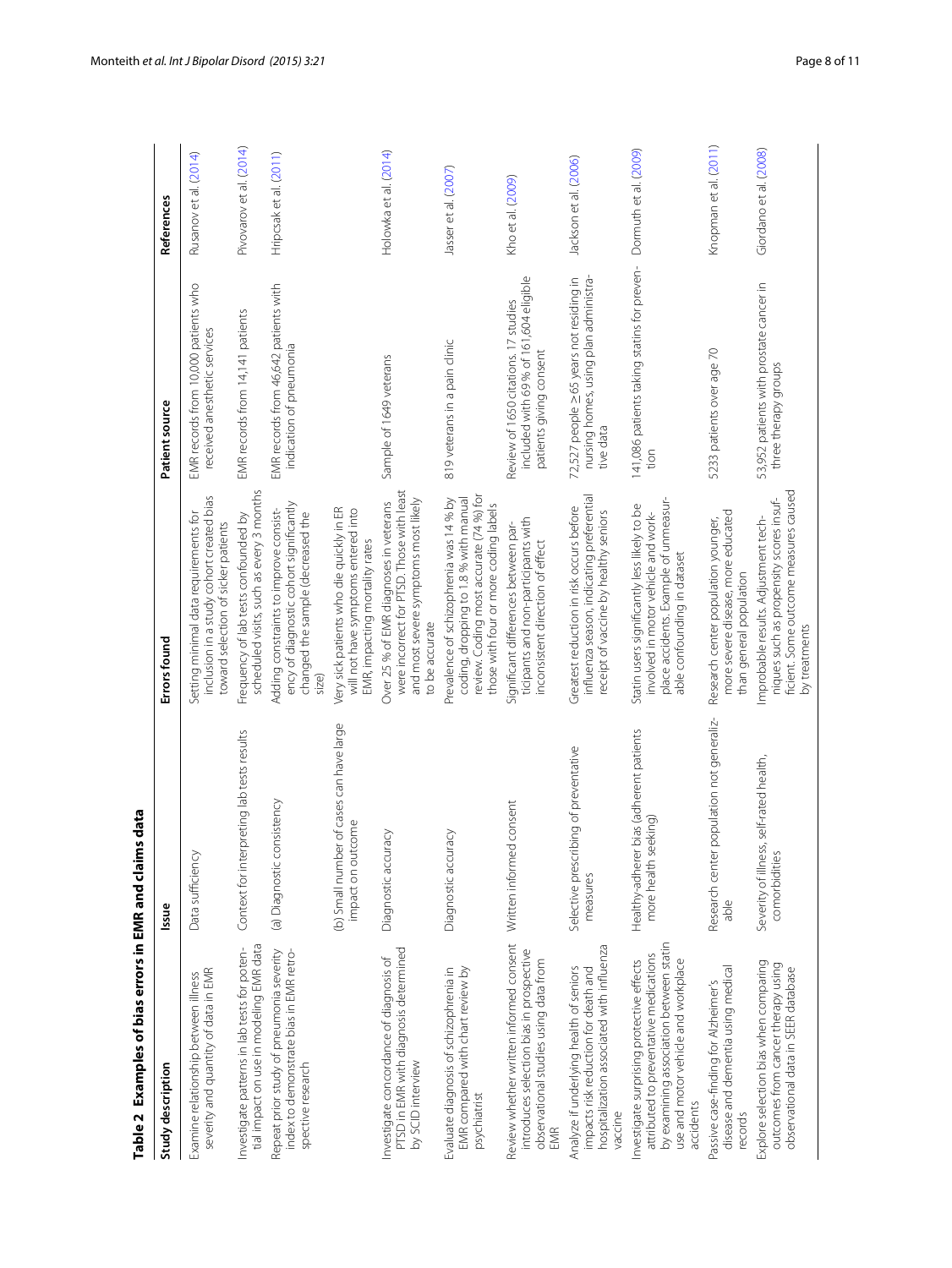| Table 2 Examples of bias errors in EMR and claims data                                                                                                                            |                                                                    |                                                                                                                                                                      |                                                                                                           |                         |
|-----------------------------------------------------------------------------------------------------------------------------------------------------------------------------------|--------------------------------------------------------------------|----------------------------------------------------------------------------------------------------------------------------------------------------------------------|-----------------------------------------------------------------------------------------------------------|-------------------------|
| Study description                                                                                                                                                                 | Issue                                                              | Errors found                                                                                                                                                         | Patient source                                                                                            | References              |
| severity and quantity of data in EMR<br>Examine relationship between illness                                                                                                      | Data sufficiency                                                   | inclusion in a study cohort created bias<br>Setting minimal data requirements for<br>toward selection of sicker patients                                             | EMR records from 10,000 patients who<br>received anesthetic services                                      | Rusanov et al. (2014)   |
| tial impact on use in modeling EMR data<br>Investigate patterns in lab tests for poten-                                                                                           | Context for interpreting lab tests results                         | scheduled visits, such as every 3 months<br>Frequency of lab tests confounded by                                                                                     | EMR records from 14,141 patients                                                                          | Pivovarov et al. (2014) |
| Repeat prior study of pneumonia severity<br>index to demonstrate bias in EMR retro-<br>spective research                                                                          | (a) Diagnostic consistency                                         | ency of diagnostic cohort significantly<br>Adding constraints to improve consist-<br>changed the sample (decreased the<br>size)                                      | EMR records from 46,642 patients with<br>indication of pneumonia                                          | Hripcsak et al. (2011)  |
|                                                                                                                                                                                   | (b) Small number of cases can have large<br>impact on outcome      | Very sick patients who die quickly in ER<br>will not have symptoms entered into<br>EMR, impacting mortality rates                                                    |                                                                                                           |                         |
| PTSD in EMR with diagnosis determined<br>Investigate concordance of diagnosis of<br>by SCID interview                                                                             | Diagnostic accuracy                                                | were incorrect for PTSD. Those with least<br>and most severe symptoms most likely<br>Over 25 % of EMR diagnoses in veterans<br>to be accurate                        | Sample of 1649 veterans                                                                                   | Holowka et al. (2014)   |
| Evaluate diagnosis of schizophrenia in<br>EMR compared with chart review by<br>psychiatrist                                                                                       | Diagnostic accuracy                                                | review. Coding most accurate (74 %) for<br>Prevalence of schizophrenia was 14 % by<br>coding, dropping to 1.8 % with manual<br>those with four or more coding labels | 819 veterans in a pain clinic                                                                             | Jasser et al. (2007)    |
| Review whether written informed consent<br>introduces selection bias in prospective<br>observational studies using data from<br>EMR                                               | ed consent<br>Written inform                                       | ticipants and non-participants with<br>Significant differences between par<br>inconsistent direction of effect                                                       | included with 69 % of 161,604 eligible<br>Review of 1650 citations. 17 studies<br>patients giving consent | Kho et al. (2009)       |
| hospitalization associated with influenza<br>Analyze if underlying health of seniors<br>impacts risk reduction for death and<br>vaccine                                           | Selective prescribing of preventative<br>measures                  | influenza season, indicating preferential<br>Greatest reduction in risk occurs before<br>receipt of vaccine by healthy seniors                                       | 72,527 people ≥65 years not residing in<br>nursing homes, using plan administra-<br>tive data             | Jackson et al. (2006)   |
| by examining association between statin<br>attributed to preventative medications<br>use and motor vehicle and workplace<br>nvestigate surprising protective effects<br>accidents | Healthy-adherer bias (adherent patients<br>seeking)<br>more health | place accidents. Example of unmeasur-<br>Statin users significantly less likely to be<br>involved in motor vehicle and work-<br>able confounding in dataset          | 141,086 patients taking statins for preven-<br>tion                                                       | Dormuth et al. (2009)   |
| disease and dementia using medical<br>assive case-finding for Alzheimer's<br>records                                                                                              | Research center population not generaliz-<br>able                  | more severe disease, more educated<br>Research center population younger,<br>than general population                                                                 | 5233 patients over age 70                                                                                 | Knopman et al. (2011)   |
| Explore selection bias when comparing<br>outcomes from cancer therapy using<br>observational data in SEER database                                                                | Severity of illness, self-rated health,<br>comorbidities           | ficient. Some outcome measures caused<br>niques such as propensity scores insuf-<br>Improbable results. Adjustment tech-<br>by treatments                            | 53,952 patients with prostate cancer in<br>three therapy groups                                           | Giordano et al. (2008)  |

<span id="page-7-0"></span>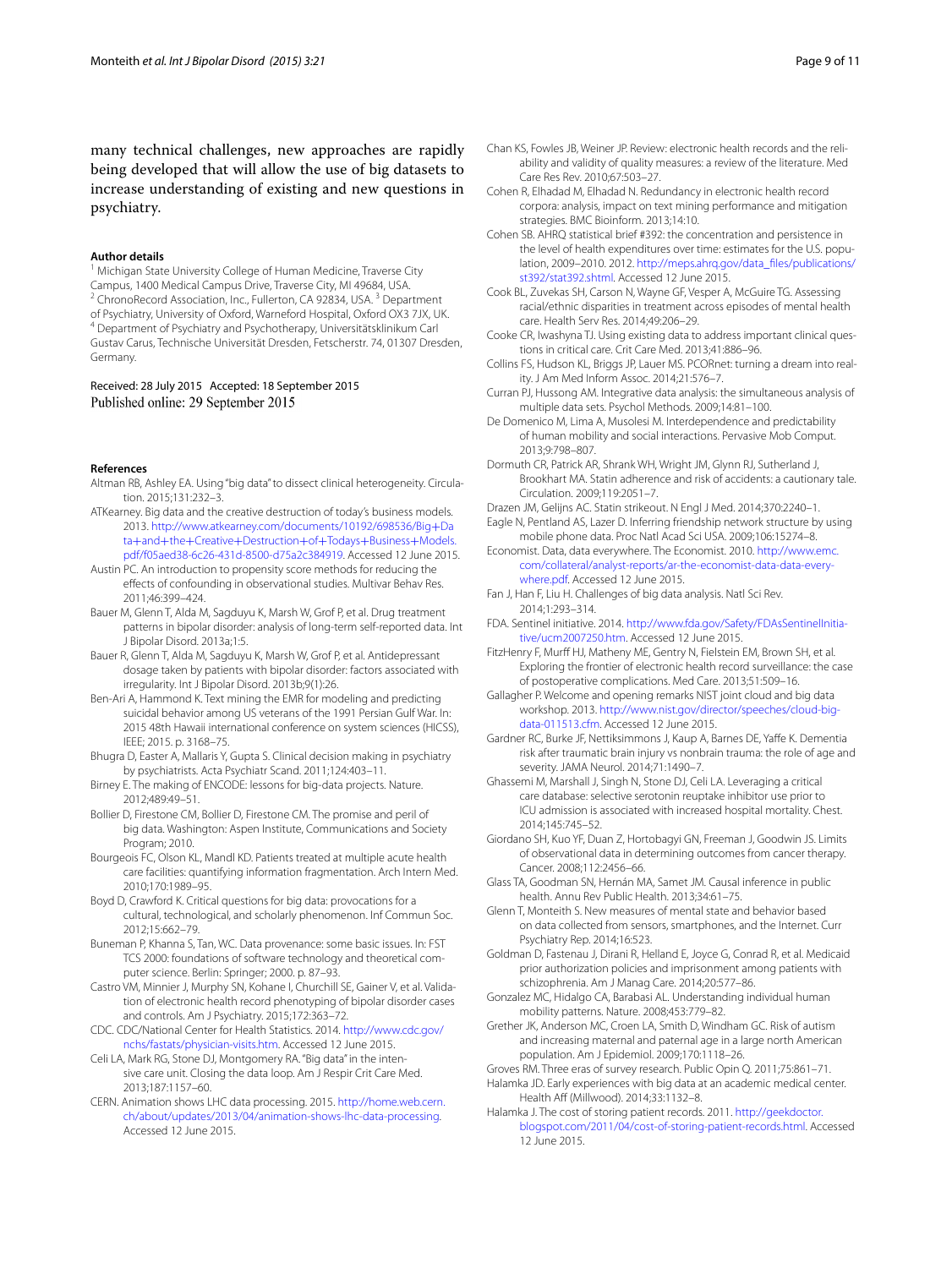many technical challenges, new approaches are rapidly being developed that will allow the use of big datasets to increase understanding of existing and new questions in psychiatry.

#### **Author details**

<sup>1</sup> Michigan State University College of Human Medicine, Traverse City Campus, 1400 Medical Campus Drive, Traverse City, MI 49684, USA. <sup>2</sup> ChronoRecord Association, Inc., Fullerton, CA 92834, USA.<sup>3</sup> Department of Psychiatry, University of Oxford, Warneford Hospital, Oxford OX3 7JX, UK. 4 Department of Psychiatry and Psychotherapy, Universitätsklinikum Carl Gustav Carus, Technische Universität Dresden, Fetscherstr. 74, 01307 Dresden, Germany.

Received: 28 July 2015 Accepted: 18 September 2015 Published online: 29 September 2015

#### **References**

- <span id="page-8-16"></span>Altman RB, Ashley EA. Using "big data" to dissect clinical heterogeneity. Circulation. 2015;131:232–3.
- <span id="page-8-1"></span>ATKearney. Big data and the creative destruction of today's business models. 2013. [http://www.atkearney.com/documents/10192/698536/Big](http://www.atkearney.com/documents/10192/698536/Big%2bData%2band%2bthe%2bCreative%2bDestruction%2bof%2bTodays%2bBusiness%2bModels.pdf/f05aed38-6c26-431d-8500-d75a2c384919)+Da ta+and+the+Creative+Destruction+of+Todays+Business+Models. [pdf/f05aed38-6c26-431d-8500-d75a2c384919. Accessed 12 June 2015](http://www.atkearney.com/documents/10192/698536/Big%2bData%2band%2bthe%2bCreative%2bDestruction%2bof%2bTodays%2bBusiness%2bModels.pdf/f05aed38-6c26-431d-8500-d75a2c384919).
- <span id="page-8-37"></span>Austin PC. An introduction to propensity score methods for reducing the effects of confounding in observational studies. Multivar Behav Res. 2011;46:399–424.
- <span id="page-8-38"></span>Bauer M, Glenn T, Alda M, Sagduyu K, Marsh W, Grof P, et al. Drug treatment patterns in bipolar disorder: analysis of long-term self-reported data. Int J Bipolar Disord. 2013a;1:5.
- <span id="page-8-39"></span>Bauer R, Glenn T, Alda M, Sagduyu K, Marsh W, Grof P, et al. Antidepressant dosage taken by patients with bipolar disorder: factors associated with irregularity. Int J Bipolar Disord. 2013b;9(1):26.
- <span id="page-8-24"></span>Ben-Ari A, Hammond K. Text mining the EMR for modeling and predicting suicidal behavior among US veterans of the 1991 Persian Gulf War. In: 2015 48th Hawaii international conference on system sciences (HICSS), IEEE; 2015. p. 3168–75.
- <span id="page-8-15"></span>Bhugra D, Easter A, Mallaris Y, Gupta S. Clinical decision making in psychiatry by psychiatrists. Acta Psychiatr Scand. 2011;124:403–11.
- <span id="page-8-8"></span>Birney E. The making of ENCODE: lessons for big-data projects. Nature. 2012;489:49–51.
- <span id="page-8-33"></span>Bollier D, Firestone CM, Bollier D, Firestone CM. The promise and peril of big data. Washington: Aspen Institute, Communications and Society Program; 2010.
- <span id="page-8-31"></span>Bourgeois FC, Olson KL, Mandl KD. Patients treated at multiple acute health care facilities: quantifying information fragmentation. Arch Intern Med. 2010;170:1989–95.
- <span id="page-8-34"></span>Boyd D, Crawford K. Critical questions for big data: provocations for a cultural, technological, and scholarly phenomenon. Inf Commun Soc. 2012;15:662–79.
- <span id="page-8-32"></span>Buneman P, Khanna S, Tan, WC. Data provenance: some basic issues. In: FST TCS 2000: foundations of software technology and theoretical computer science. Berlin: Springer; 2000. p. 87–93.
- <span id="page-8-17"></span>Castro VM, Minnier J, Murphy SN, Kohane I, Churchill SE, Gainer V, et al. Validation of electronic health record phenotyping of bipolar disorder cases and controls. Am J Psychiatry. 2015;172:363–72.
- <span id="page-8-4"></span>CDC. CDC/National Center for Health Statistics. 2014. [http://www.cdc.gov/](http://www.cdc.gov/nchs/fastats/physician-visits.htm) [nchs/fastats/physician-visits.htm](http://www.cdc.gov/nchs/fastats/physician-visits.htm). Accessed 12 June 2015.
- <span id="page-8-12"></span>Celi LA, Mark RG, Stone DJ, Montgomery RA. "Big data" in the intensive care unit. Closing the data loop. Am J Respir Crit Care Med. 2013;187:1157–60.
- <span id="page-8-5"></span>CERN. Animation shows LHC data processing. 2015. [http://home.web.cern.](http://home.web.cern.ch/about/updates/2013/04/animation-shows-lhc-data-processing) [ch/about/updates/2013/04/animation-shows-lhc-data-processing.](http://home.web.cern.ch/about/updates/2013/04/animation-shows-lhc-data-processing) Accessed 12 June 2015.
- <span id="page-8-28"></span>Chan KS, Fowles JB, Weiner JP. Review: electronic health records and the reliability and validity of quality measures: a review of the literature. Med
- <span id="page-8-30"></span>Care Res Rev. 2010;67:503–27. Cohen R, Elhadad M, Elhadad N. Redundancy in electronic health record corpora: analysis, impact on text mining performance and mitigation strategies. BMC Bioinform. 2013;14:10.
- <span id="page-8-10"></span>Cohen SB. AHRQ statistical brief #392: the concentration and persistence in the level of health expenditures over time: estimates for the U.S. population, 2009–2010. 2012. [http://meps.ahrq.gov/data\\_files/publications/](http://meps.ahrq.gov/data_files/publications/st392/stat392.shtml) [st392/stat392.shtml.](http://meps.ahrq.gov/data_files/publications/st392/stat392.shtml) Accessed 12 June 2015.
- <span id="page-8-35"></span>Cook BL, Zuvekas SH, Carson N, Wayne GF, Vesper A, McGuire TG. Assessing racial/ethnic disparities in treatment across episodes of mental health care. Health Serv Res. 2014;49:206–29.
- <span id="page-8-9"></span>Cooke CR, Iwashyna TJ. Using existing data to address important clinical questions in critical care. Crit Care Med. 2013;41:886–96.
- <span id="page-8-13"></span>Collins FS, Hudson KL, Briggs JP, Lauer MS. PCORnet: turning a dream into reality. J Am Med Inform Assoc. 2014;21:576–7.
- <span id="page-8-18"></span>Curran PJ, Hussong AM. Integrative data analysis: the simultaneous analysis of multiple data sets. Psychol Methods. 2009;14:81–100.
- <span id="page-8-20"></span>De Domenico M, Lima A, Musolesi M. Interdependence and predictability of human mobility and social interactions. Pervasive Mob Comput. 2013;9:798–807.
- <span id="page-8-41"></span>Dormuth CR, Patrick AR, Shrank WH, Wright JM, Glynn RJ, Sutherland J, Brookhart MA. Statin adherence and risk of accidents: a cautionary tale. Circulation. 2009;119:2051–7.
- <span id="page-8-40"></span><span id="page-8-22"></span>Drazen JM, Gelijns AC. Statin strikeout. N Engl J Med. 2014;370:2240–1. Eagle N, Pentland AS, Lazer D. Inferring friendship network structure by using
- mobile phone data. Proc Natl Acad Sci USA. 2009;106:15274–8. Economist. Data, data everywhere. The Economist. 2010. [http://www.emc.](http://www.emc.com/collateral/analyst-reports/ar-the-economist-data-data-everywhere.pdf)
- <span id="page-8-0"></span>[com/collateral/analyst-reports/ar-the-economist-data-data-every](http://www.emc.com/collateral/analyst-reports/ar-the-economist-data-data-everywhere.pdf)[where.pdf](http://www.emc.com/collateral/analyst-reports/ar-the-economist-data-data-everywhere.pdf). Accessed 12 June 2015.
- <span id="page-8-6"></span>Fan J, Han F, Liu H. Challenges of big data analysis. Natl Sci Rev. 2014;1:293–314.
- <span id="page-8-14"></span>FDA. Sentinel initiative. 2014. [http://www.fda.gov/Safety/FDAsSentinelInitia](http://www.fda.gov/Safety/FDAsSentinelInitiative/ucm2007250.htm)[tive/ucm2007250.htm.](http://www.fda.gov/Safety/FDAsSentinelInitiative/ucm2007250.htm) Accessed 12 June 2015.
- <span id="page-8-11"></span>FitzHenry F, Murff HJ, Matheny ME, Gentry N, Fielstein EM, Brown SH, et al. Exploring the frontier of electronic health record surveillance: the case of postoperative complications. Med Care. 2013;51:509–16.
- <span id="page-8-7"></span>Gallagher P. Welcome and opening remarks NIST joint cloud and big data workshop. 2013. [http://www.nist.gov/director/speeches/cloud-big](http://www.nist.gov/director/speeches/cloud-big-data-011513.cfm)[data-011513.cfm](http://www.nist.gov/director/speeches/cloud-big-data-011513.cfm). Accessed 12 June 2015.
- <span id="page-8-23"></span>Gardner RC, Burke JF, Nettiksimmons J, Kaup A, Barnes DE, Yaffe K. Dementia risk after traumatic brain injury vs nonbrain trauma: the role of age and severity. JAMA Neurol. 2014;71:1490–7.
- <span id="page-8-27"></span>Ghassemi M, Marshall J, Singh N, Stone DJ, Celi LA. Leveraging a critical care database: selective serotonin reuptake inhibitor use prior to ICU admission is associated with increased hospital mortality. Chest. 2014;145:745–52.
- <span id="page-8-42"></span>Giordano SH, Kuo YF, Duan Z, Hortobagyi GN, Freeman J, Goodwin JS. Limits of observational data in determining outcomes from cancer therapy. Cancer. 2008;112:2456–66.
- <span id="page-8-36"></span>Glass TA, Goodman SN, Hernán MA, Samet JM. Causal inference in public health. Annu Rev Public Health. 2013;34:61–75.
- <span id="page-8-2"></span>Glenn T, Monteith S. New measures of mental state and behavior based on data collected from sensors, smartphones, and the Internet. Curr Psychiatry Rep. 2014;16:523.
- <span id="page-8-26"></span>Goldman D, Fastenau J, Dirani R, Helland E, Joyce G, Conrad R, et al. Medicaid prior authorization policies and imprisonment among patients with schizophrenia. Am J Manag Care. 2014;20:577–86.
- <span id="page-8-21"></span>Gonzalez MC, Hidalgo CA, Barabasi AL. Understanding individual human mobility patterns. Nature. 2008;453:779–82.
- <span id="page-8-25"></span>Grether JK, Anderson MC, Croen LA, Smith D, Windham GC. Risk of autism and increasing maternal and paternal age in a large north American population. Am J Epidemiol. 2009;170:1118–26.
- <span id="page-8-29"></span><span id="page-8-19"></span>Groves RM. Three eras of survey research. Public Opin Q. 2011;75:861–71. Halamka JD. Early experiences with big data at an academic medical center. Health Aff (Millwood). 2014;33:1132–8.
- <span id="page-8-3"></span>Halamka J. The cost of storing patient records. 2011. [http://geekdoctor.](http://geekdoctor.blogspot.com/2011/04/cost-of-storing-patient-records.html) [blogspot.com/2011/04/cost-of-storing-patient-records.html](http://geekdoctor.blogspot.com/2011/04/cost-of-storing-patient-records.html). Accessed 12 June 2015.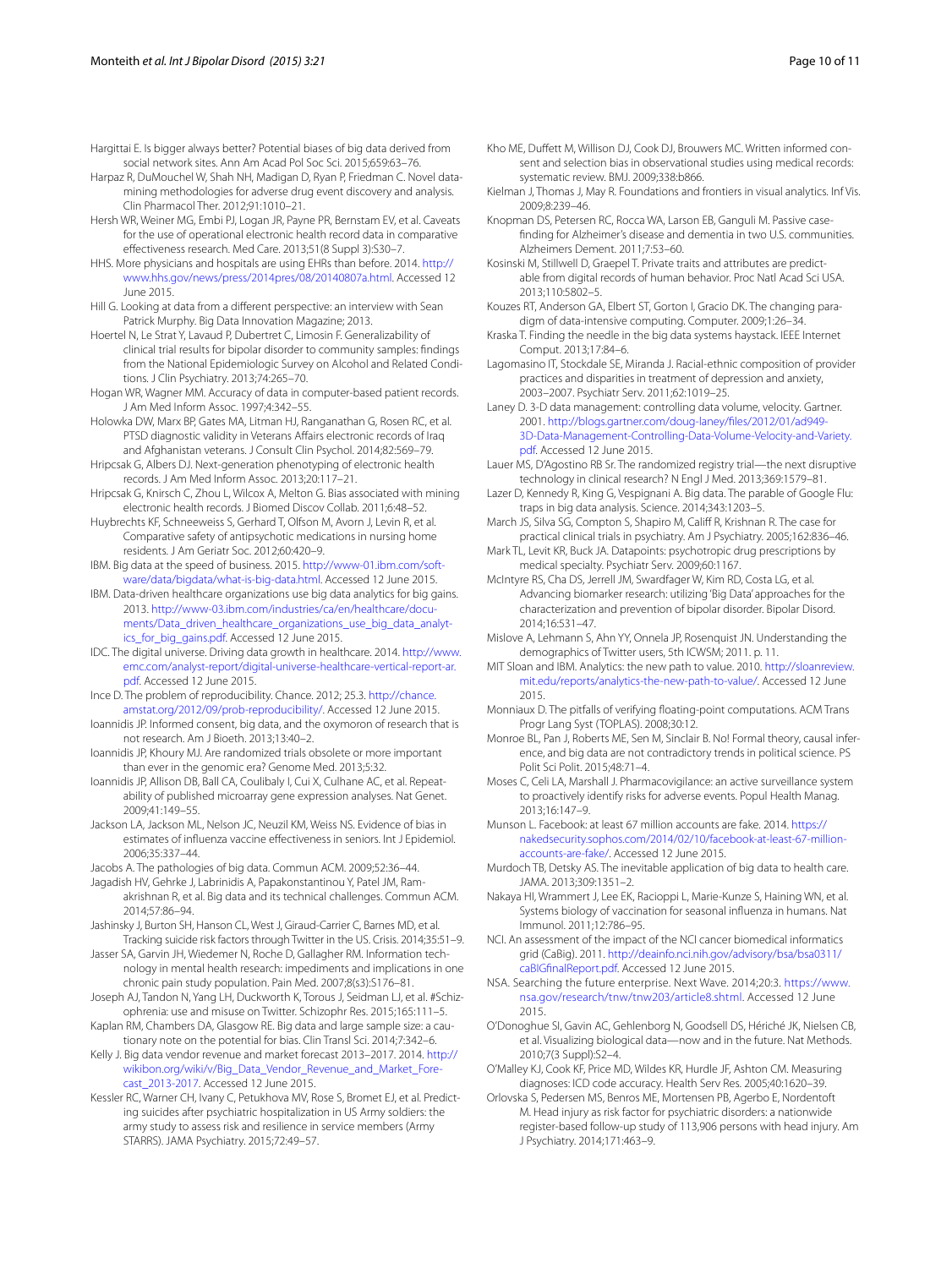- <span id="page-9-40"></span>Hargittai E. Is bigger always better? Potential biases of big data derived from social network sites. Ann Am Acad Pol Soc Sci. 2015;659:63–76.
- <span id="page-9-16"></span>Harpaz R, DuMouchel W, Shah NH, Madigan D, Ryan P, Friedman C. Novel datamining methodologies for adverse drug event discovery and analysis. Clin Pharmacol Ther. 2012;91:1010–21.
- <span id="page-9-31"></span>Hersh WR, Weiner MG, Embi PJ, Logan JR, Payne PR, Bernstam EV, et al. Caveats for the use of operational electronic health record data in comparative effectiveness research. Med Care. 2013;51(8 Suppl 3):S30–7.
- <span id="page-9-6"></span>HHS. More physicians and hospitals are using EHRs than before. 2014. [http://](http://www.hhs.gov/news/press/2014pres/08/20140807a.html) [www.hhs.gov/news/press/2014pres/08/20140807a.html](http://www.hhs.gov/news/press/2014pres/08/20140807a.html). Accessed 12 June 2015.
- <span id="page-9-2"></span>Hill G. Looking at data from a different perspective: an interview with Sean Patrick Murphy. Big Data Innovation Magazine; 2013.
- <span id="page-9-20"></span>Hoertel N, Le Strat Y, Lavaud P, Dubertret C, Limosin F. Generalizability of clinical trial results for bipolar disorder to community samples: findings from the National Epidemiologic Survey on Alcohol and Related Conditions. J Clin Psychiatry. 2013;74:265–70.
- <span id="page-9-30"></span>Hogan WR, Wagner MM. Accuracy of data in computer-based patient records. J Am Med Inform Assoc. 1997;4:342–55.
- <span id="page-9-48"></span>Holowka DW, Marx BP, Gates MA, Litman HJ, Ranganathan G, Rosen RC, et al. PTSD diagnostic validity in Veterans Affairs electronic records of Iraq and Afghanistan veterans. J Consult Clin Psychol. 2014;82:569–79.
- <span id="page-9-21"></span>Hripcsak G, Albers DJ. Next-generation phenotyping of electronic health records. J Am Med Inform Assoc. 2013;20:117–21.
- <span id="page-9-47"></span>Hripcsak G, Knirsch C, Zhou L, Wilcox A, Melton G. Bias associated with mining electronic health records. J Biomed Discov Collab. 2011;6:48–52.
- <span id="page-9-26"></span>Huybrechts KF, Schneeweiss S, Gerhard T, Olfson M, Avorn J, Levin R, et al. Comparative safety of antipsychotic medications in nursing home residents. J Am Geriatr Soc. 2012;60:420–9.
- <span id="page-9-0"></span>IBM. Big data at the speed of business. 2015. [http://www-01.ibm.com/soft](http://www-01.ibm.com/software/data/bigdata/what-is-big-data.html)[ware/data/bigdata/what-is-big-data.html](http://www-01.ibm.com/software/data/bigdata/what-is-big-data.html). Accessed 12 June 2015.
- <span id="page-9-7"></span>IBM. Data-driven healthcare organizations use big data analytics for big gains. 2013. [http://www-03.ibm.com/industries/ca/en/healthcare/docu](http://www-03.ibm.com/industries/ca/en/healthcare/documents/Data_driven_healthcare_organizations_use_big_data_analytics_for_big_gains.pdf)[ments/Data\\_driven\\_healthcare\\_organizations\\_use\\_big\\_data\\_analyt](http://www-03.ibm.com/industries/ca/en/healthcare/documents/Data_driven_healthcare_organizations_use_big_data_analytics_for_big_gains.pdf)[ics\\_for\\_big\\_gains.pdf](http://www-03.ibm.com/industries/ca/en/healthcare/documents/Data_driven_healthcare_organizations_use_big_data_analytics_for_big_gains.pdf). Accessed 12 June 2015.
- <span id="page-9-4"></span>IDC. The digital universe. Driving data growth in healthcare. 2014. [http://www.](http://www.emc.com/analyst-report/digital-universe-healthcare-vertical-report-ar.pdf) [emc.com/analyst-report/digital-universe-healthcare-vertical-report-ar.](http://www.emc.com/analyst-report/digital-universe-healthcare-vertical-report-ar.pdf) [pdf](http://www.emc.com/analyst-report/digital-universe-healthcare-vertical-report-ar.pdf). Accessed 12 June 2015.
- <span id="page-9-44"></span>Ince D. The problem of reproducibility. Chance. 2012; 25.3. [http://chance.](http://chance.amstat.org/2012/09/prob-reproducibility/) [amstat.org/2012/09/prob-reproducibility/.](http://chance.amstat.org/2012/09/prob-reproducibility/) Accessed 12 June 2015.
- <span id="page-9-41"></span>Ioannidis JP. Informed consent, big data, and the oxymoron of research that is not research. Am J Bioeth. 2013;13:40–2.
- <span id="page-9-46"></span>Ioannidis JP, Khoury MJ. Are randomized trials obsolete or more important than ever in the genomic era? Genome Med. 2013;5:32.
- <span id="page-9-45"></span>Ioannidis JP, Allison DB, Ball CA, Coulibaly I, Cui X, Culhane AC, et al. Repeatability of published microarray gene expression analyses. Nat Genet. 2009;41:149–55.
- <span id="page-9-51"></span>Jackson LA, Jackson ML, Nelson JC, Neuzil KM, Weiss NS. Evidence of bias in estimates of influenza vaccine effectiveness in seniors. Int J Epidemiol. 2006;35:337–44.
- <span id="page-9-9"></span>Jacobs A. The pathologies of big data. Commun ACM. 2009;52:36–44.
- <span id="page-9-36"></span>Jagadish HV, Gehrke J, Labrinidis A, Papakonstantinou Y, Patel JM, Ramakrishnan R, et al. Big data and its technical challenges. Commun ACM. 2014;57:86–94.
- <span id="page-9-37"></span>Jashinsky J, Burton SH, Hanson CL, West J, Giraud-Carrier C, Barnes MD, et al. Tracking suicide risk factors through Twitter in the US. Crisis. 2014;35:51–9.
- <span id="page-9-49"></span>Jasser SA, Garvin JH, Wiedemer N, Roche D, Gallagher RM. Information technology in mental health research: impediments and implications in one chronic pain study population. Pain Med. 2007;8(s3):S176–81.
- <span id="page-9-38"></span>Joseph AJ, Tandon N, Yang LH, Duckworth K, Torous J, Seidman LJ, et al. #Schizophrenia: use and misuse on Twitter. Schizophr Res. 2015;165:111–5.
- <span id="page-9-42"></span>Kaplan RM, Chambers DA, Glasgow RE. Big data and large sample size: a cautionary note on the potential for bias. Clin Transl Sci. 2014;7:342–6.
- <span id="page-9-3"></span>Kelly J. Big data vendor revenue and market forecast 2013–2017. 2014. [http://](http://wikibon.org/wiki/v/Big_Data_Vendor_Revenue_and_Market_Forecast_2013-2017) [wikibon.org/wiki/v/Big\\_Data\\_Vendor\\_Revenue\\_and\\_Market\\_Fore](http://wikibon.org/wiki/v/Big_Data_Vendor_Revenue_and_Market_Forecast_2013-2017)[cast\\_2013-2017](http://wikibon.org/wiki/v/Big_Data_Vendor_Revenue_and_Market_Forecast_2013-2017). Accessed 12 June 2015.
- <span id="page-9-23"></span>Kessler RC, Warner CH, Ivany C, Petukhova MV, Rose S, Bromet EJ, et al. Predicting suicides after psychiatric hospitalization in US Army soldiers: the army study to assess risk and resilience in service members (Army STARRS). JAMA Psychiatry. 2015;72:49–57.
- <span id="page-9-50"></span>Kho ME, Duffett M, Willison DJ, Cook DJ, Brouwers MC. Written informed consent and selection bias in observational studies using medical records: systematic review. BMJ. 2009;338:b866.
- <span id="page-9-10"></span>Kielman J, Thomas J, May R. Foundations and frontiers in visual analytics. Inf Vis. 2009;8:239–46.
- <span id="page-9-52"></span>Knopman DS, Petersen RC, Rocca WA, Larson EB, Ganguli M. Passive casefinding for Alzheimer's disease and dementia in two U.S. communities. Alzheimers Dement. 2011;7:53–60.
- <span id="page-9-22"></span>Kosinski M, Stillwell D, Graepel T. Private traits and attributes are predictable from digital records of human behavior. Proc Natl Acad Sci USA. 2013;110:5802–5.
- <span id="page-9-12"></span>Kouzes RT, Anderson GA, Elbert ST, Gorton I, Gracio DK. The changing paradigm of data-intensive computing. Computer. 2009;1:26–34.
- <span id="page-9-8"></span>Kraska T. Finding the needle in the big data systems haystack. IEEE Internet Comput. 2013;17:84–6.
- <span id="page-9-43"></span>Lagomasino IT, Stockdale SE, Miranda J. Racial-ethnic composition of provider practices and disparities in treatment of depression and anxiety, 2003–2007. Psychiatr Serv. 2011;62:1019–25.
- <span id="page-9-5"></span>Laney D. 3-D data management: controlling data volume, velocity. Gartner. 2001. [http://blogs.gartner.com/doug-laney/files/2012/01/ad949-](http://blogs.gartner.com/doug-laney/files/2012/01/ad949-3D-Data-Management-Controlling-Data-Volume-Velocity-and-Variety.pdf) [3D-Data-Management-Controlling-Data-Volume-Velocity-and-Variety.](http://blogs.gartner.com/doug-laney/files/2012/01/ad949-3D-Data-Management-Controlling-Data-Volume-Velocity-and-Variety.pdf) [pdf](http://blogs.gartner.com/doug-laney/files/2012/01/ad949-3D-Data-Management-Controlling-Data-Volume-Velocity-and-Variety.pdf). Accessed 12 June 2015.
- <span id="page-9-17"></span>Lauer MS, D'Agostino RB Sr. The randomized registry trial—the next disruptive technology in clinical research? N Engl J Med. 2013;369:1579–81.
- <span id="page-9-33"></span>Lazer D, Kennedy R, King G, Vespignani A. Big data. The parable of Google Flu: traps in big data analysis. Science. 2014;343:1203–5.
- <span id="page-9-18"></span>March JS, Silva SG, Compton S, Shapiro M, Califf R, Krishnan R. The case for practical clinical trials in psychiatry. Am J Psychiatry. 2005;162:836–46.
- <span id="page-9-24"></span>Mark TL, Levit KR, Buck JA. Datapoints: psychotropic drug prescriptions by medical specialty. Psychiatr Serv. 2009;60:1167.
- <span id="page-9-28"></span>McIntyre RS, Cha DS, Jerrell JM, Swardfager W, Kim RD, Costa LG, et al. Advancing biomarker research: utilizing 'Big Data' approaches for the characterization and prevention of bipolar disorder. Bipolar Disord. 2014;16:531–47.
- <span id="page-9-39"></span>Mislove A, Lehmann S, Ahn YY, Onnela JP, Rosenquist JN. Understanding the demographics of Twitter users, 5th ICWSM; 2011. p. 11.
- <span id="page-9-1"></span>MIT Sloan and IBM. Analytics: the new path to value. 2010. [http://sloanreview.](http://sloanreview.mit.edu/reports/analytics-the-new-path-to-value/) [mit.edu/reports/analytics-the-new-path-to-value/.](http://sloanreview.mit.edu/reports/analytics-the-new-path-to-value/) Accessed 12 June 2015.
- <span id="page-9-35"></span>Monniaux D. The pitfalls of verifying floating-point computations. ACM Trans Progr Lang Syst (TOPLAS). 2008;30:12.
- <span id="page-9-27"></span>Monroe BL, Pan J, Roberts ME, Sen M, Sinclair B. No! Formal theory, causal inference, and big data are not contradictory trends in political science. PS Polit Sci Polit. 2015;48:71–4.
- <span id="page-9-15"></span>Moses C, Celi LA, Marshall J. Pharmacovigilance: an active surveillance system to proactively identify risks for adverse events. Popul Health Manag. 2013;16:147–9.

<span id="page-9-34"></span>Munson L. Facebook: at least 67 million accounts are fake. 2014. [https://](https://nakedsecurity.sophos.com/2014/02/10/facebook-at-least-67-million-accounts-are-fake/) [nakedsecurity.sophos.com/2014/02/10/facebook-at-least-67-million](https://nakedsecurity.sophos.com/2014/02/10/facebook-at-least-67-million-accounts-are-fake/)[accounts-are-fake/](https://nakedsecurity.sophos.com/2014/02/10/facebook-at-least-67-million-accounts-are-fake/). Accessed 12 June 2015.

- <span id="page-9-14"></span>Murdoch TB, Detsky AS. The inevitable application of big data to health care. JAMA. 2013;309:1351–2.
- <span id="page-9-19"></span>Nakaya HI, Wrammert J, Lee EK, Racioppi L, Marie-Kunze S, Haining WN, et al. Systems biology of vaccination for seasonal influenza in humans. Nat Immunol. 2011;12:786–95.
- <span id="page-9-13"></span>NCI. An assessment of the impact of the NCI cancer biomedical informatics grid (CaBig). 2011. [http://deainfo.nci.nih.gov/advisory/bsa/bsa0311/](http://deainfo.nci.nih.gov/advisory/bsa/bsa0311/caBIGfinalReport.pdf) [caBIGfinalReport.pdf](http://deainfo.nci.nih.gov/advisory/bsa/bsa0311/caBIGfinalReport.pdf). Accessed 12 June 2015.
- <span id="page-9-29"></span>NSA. Searching the future enterprise. Next Wave. 2014;20:3. [https://www.](https://www.nsa.gov/research/tnw/tnw203/article8.shtml) [nsa.gov/research/tnw/tnw203/article8.shtml](https://www.nsa.gov/research/tnw/tnw203/article8.shtml). Accessed 12 June 2015.
- <span id="page-9-11"></span>O'Donoghue SI, Gavin AC, Gehlenborg N, Goodsell DS, Hériché JK, Nielsen CB, et al. Visualizing biological data—now and in the future. Nat Methods. 2010;7(3 Suppl):S2–4.
- <span id="page-9-32"></span>O'Malley KJ, Cook KF, Price MD, Wildes KR, Hurdle JF, Ashton CM. Measuring diagnoses: ICD code accuracy. Health Serv Res. 2005;40:1620–39.
- <span id="page-9-25"></span>Orlovska S, Pedersen MS, Benros ME, Mortensen PB, Agerbo E, Nordentoft M. Head injury as risk factor for psychiatric disorders: a nationwide register-based follow-up study of 113,906 persons with head injury. Am J Psychiatry. 2014;171:463–9.